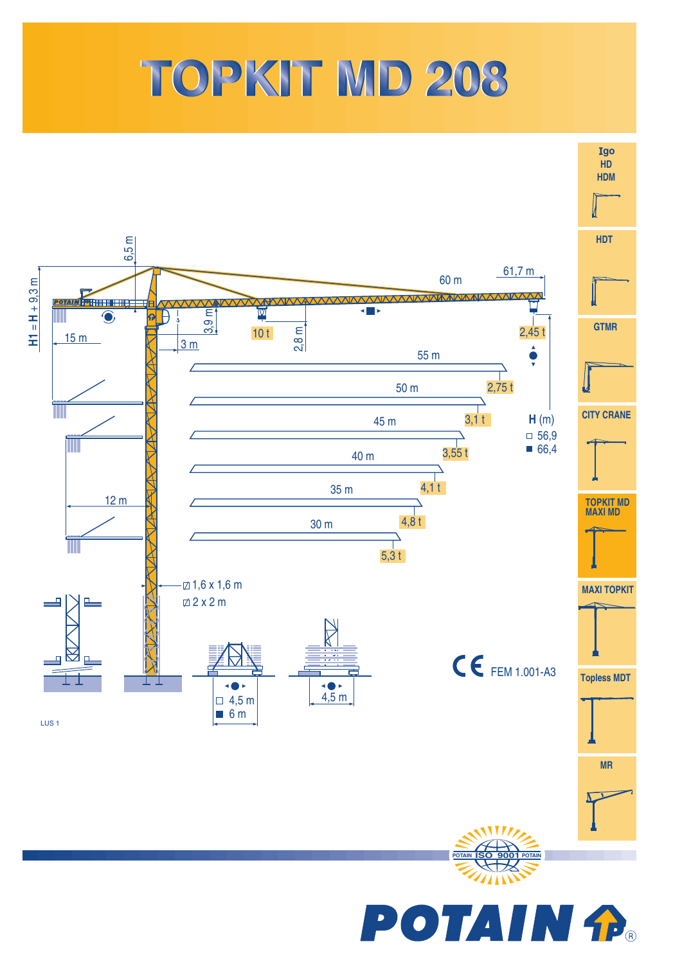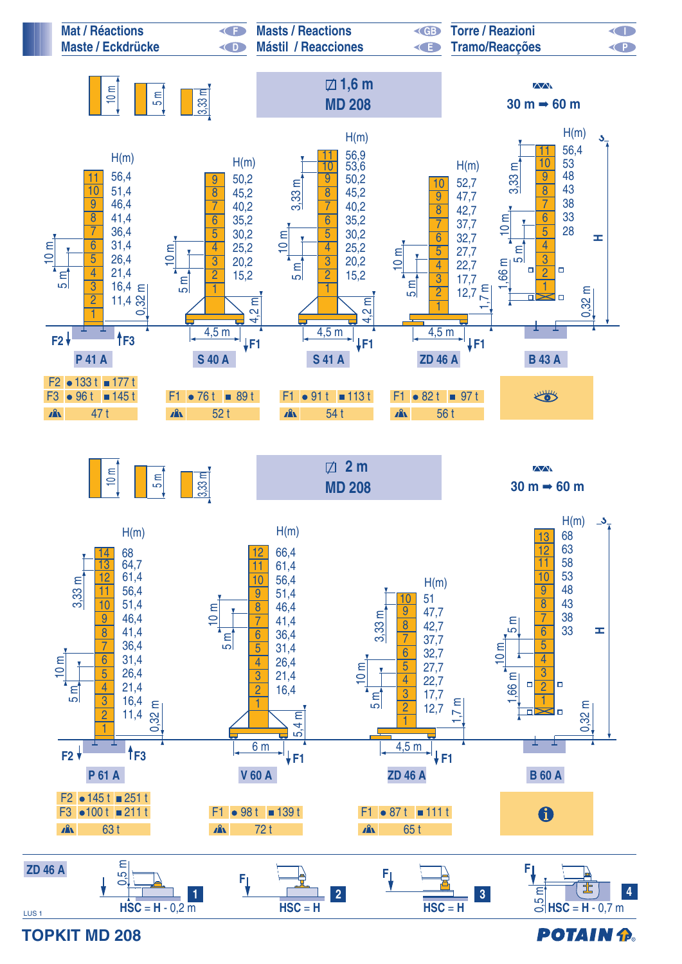

**TOPKIT MD 208**

**POTAIN &**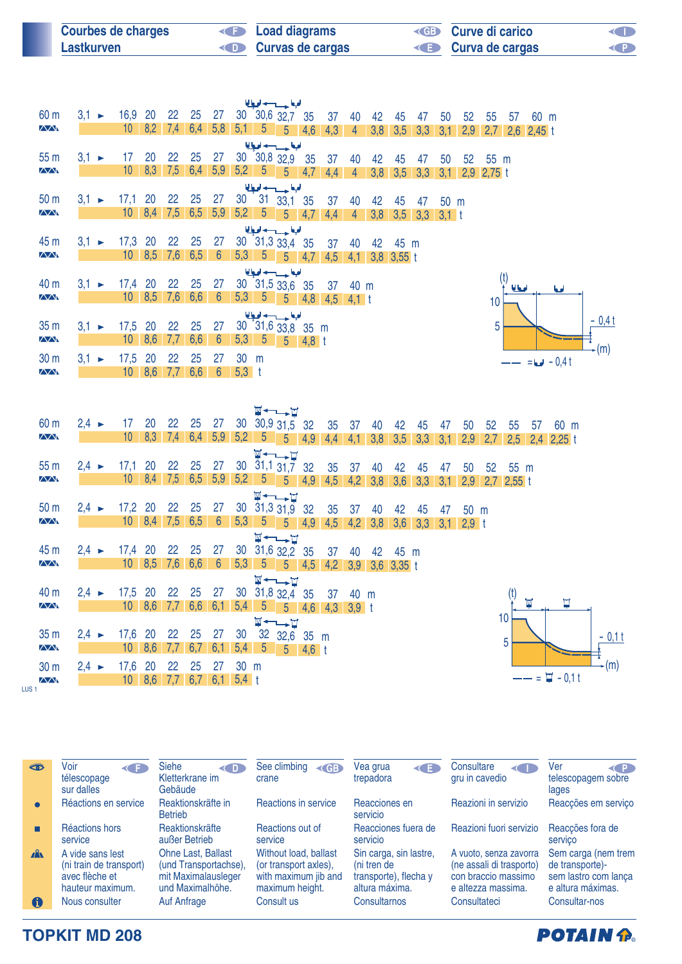| <b>Courbes de charges</b> | <b>E</b> Load diagrams  | <b>ED</b> Curve di carico | O         |
|---------------------------|-------------------------|---------------------------|-----------|
| Lastkurven                | <b>Curvas de cargas</b> | <b>E</b> Curva de cargas  | <b>KP</b> |

| 60 m                      | $3,1 -$           | 16,9 20                    |                          | 22        | 25                   | 27                    |           |                         | الملحة وسيدادها<br>30 30,6 32,7 35     |     | 37                    | 40                | 42  | 45                         | 47                        | 50   | 52   | 55               | 57           | 60 m             |         |
|---------------------------|-------------------|----------------------------|--------------------------|-----------|----------------------|-----------------------|-----------|-------------------------|----------------------------------------|-----|-----------------------|-------------------|-----|----------------------------|---------------------------|------|------|------------------|--------------|------------------|---------|
| <b>AA</b>                 |                   | 10                         | 8,2                      | 7,4       | $6,4$ 5,8            |                       | $5,1$ 5   |                         | $\sqrt{5}$                             | 4,6 | 4,3                   | $\overline{4}$    | 3,8 | 3,5                        | 3,3                       | 3,1  | 2,9  | 2,7              | $2,6$ 2,45 t |                  |         |
|                           |                   |                            |                          |           |                      |                       |           |                         | الملجعا حسيب لحيا                      |     |                       |                   |     |                            |                           |      |      |                  |              |                  |         |
| 55 m<br><b>AA</b>         | $3.1 \rightarrow$ | 17<br>10                   | 20<br>8,3                | 22<br>7,5 | 25<br>$6,4$ 5,9      | 27                    |           |                         | 30 30,8 32,9 35                        |     | 37                    | 40                | 42  | 45                         | 47                        | 50   | 52   | 55 m             |              |                  |         |
|                           |                   |                            |                          |           |                      |                       |           |                         | $5,2$ 5 5 4,7                          |     | 4,4                   | $\overline{4}$    | 3,8 | 3,5                        | 3,3                       | 3,1  |      | $2,9$ 2,75 t     |              |                  |         |
| 50 <sub>m</sub>           | $3.1 \rightarrow$ | $17,1$ 20                  |                          | 22        | 25                   | 27                    |           |                         | الملحة حسيدها<br>$30$ $31$ $33,1$ $35$ |     | 37                    | 40                | 42  | 45                         | 47                        | 50 m |      |                  |              |                  |         |
| $\overline{\Delta\Delta}$ |                   | 10 <sup>°</sup>            |                          |           | 8,4 7,5 6,5 5,9      |                       |           |                         | $5,2$ $5$ $5$ $4,7$                    |     | 4,4                   | 4 <sup>1</sup>    | 3,8 |                            | $3,5$ $3,3$ $3,1$ t       |      |      |                  |              |                  |         |
|                           |                   |                            |                          |           |                      |                       |           |                         | الملحط حسوبها لحيا                     |     |                       |                   |     |                            |                           |      |      |                  |              |                  |         |
| 45 m                      | $3.1 \rightarrow$ | 17,3 20                    |                          | 22        | 25                   | 27                    |           |                         | 30 31,3 33,4 35                        |     | 37                    | 40                | 42  | 45 m                       |                           |      |      |                  |              |                  |         |
| $\Delta\Delta$            |                   | 10 <sup>°</sup>            | 8,5                      | 7,6       | 6,5                  | $6\phantom{1}6$       |           |                         | $5,3$ $5$ $5$ $4,7$                    |     | 4,5                   |                   |     | $4,1$ 3,8 3,55 t           |                           |      |      |                  |              |                  |         |
|                           |                   |                            |                          |           |                      |                       |           |                         | الملحة وسيدانها                        |     |                       |                   |     |                            |                           |      |      | (t)              |              |                  |         |
| 40 m<br>$\sqrt{N}$        | $3.1 \rightarrow$ | 17,4 20                    | $10 \mid 8,5 \mid 7,6$   | 22        | 25<br>6,6            | 27<br>$6\overline{6}$ |           |                         | 30 31,5 33,6 35                        |     |                       | 37 40 m           |     |                            |                           |      |      |                  | أمطانا       | امعا             |         |
|                           |                   |                            |                          |           |                      |                       |           |                         |                                        |     | 5,3 5 5 4,8 4,5 4,1 t |                   |     |                            |                           |      |      | 10               |              |                  |         |
| 35 <sub>m</sub>           | $3.1 \rightarrow$ | 17,5 20                    |                          | 22        | 25                   | 27                    |           |                         | الملحا حسيدها<br>30 31,6 33,8 35 m     |     |                       |                   |     |                            |                           |      |      | 5                |              |                  | $-0,4t$ |
| $\sqrt{N}$                |                   | 10 <sup>°</sup>            | 8,6                      | 7,7       | 6,6                  | $6\overline{6}$       |           |                         | 5,3 5 5 4,8 t                          |     |                       |                   |     |                            |                           |      |      |                  |              |                  |         |
| 30 m                      | $3.1 -$           | 17,5                       | 20                       | 22        | 25                   | 27                    | 30 m      |                         |                                        |     |                       |                   |     |                            |                           |      |      |                  |              |                  | $-(m)$  |
| <b>AA</b>                 |                   |                            | 10 8,6 7,7 6,6           |           |                      | $6\overline{6}$       | $5,3$ t   |                         |                                        |     |                       |                   |     |                            |                           |      |      |                  |              | $= 6 - 0.4 t$    |         |
|                           |                   |                            |                          |           |                      |                       |           |                         | <b>W←→H</b>                            |     |                       |                   |     |                            |                           |      |      |                  |              |                  |         |
|                           |                   | 17                         |                          |           |                      |                       |           |                         |                                        |     |                       |                   |     |                            |                           |      |      |                  |              |                  |         |
| 60 m<br><b>AV</b>         | $2,4 \rightarrow$ | 10                         | 20<br>8,3                | 22<br>7,4 | 25<br>6,4            | 27<br>5,9             | 5,2       | 30 30,9 31,5 32<br>$-5$ | H.<br>5 <sup>5</sup>                   | 4.9 | 35                    | 37                | 40  | 42                         | 45                        | 47   | 50   | 52               | 55<br>57     | 60 m             |         |
|                           |                   |                            |                          |           |                      |                       |           |                         |                                        |     | 4,4                   | $4,1$ 3,8         |     | 3,5                        | 3,3                       | 3,1  | 2,9  | 2,7              |              | $2,5$ 2,4 2,25 t |         |
| 55 <sub>m</sub>           | $2,4 \rightarrow$ | $17,1$ 20                  |                          | 22        | 25                   | 27                    |           |                         | <b>W←←F</b><br>30 31,1 31,7 32         |     | 35                    | 37                | 40  | 42                         | 45                        | 47   | 50   | 52               | - 55 m       |                  |         |
| <b>AA</b>                 |                   |                            | $10 \quad 8,4 \quad 7,5$ |           |                      | $6,5$ 5,9             |           |                         | $5,2$ 5 5 4,9                          |     |                       | $4,5$ $4,2$ $3,8$ |     | 3,6                        | 3,3                       | 3.1  |      | $2,9$ 2,7 2,55 t |              |                  |         |
|                           |                   |                            |                          |           |                      |                       |           |                         | <b>W←→H</b>                            |     |                       |                   |     |                            |                           |      |      |                  |              |                  |         |
| 50 m<br>$\sqrt{N}$        | $2,4 \rightarrow$ | 17,2 20                    |                          | 22        | 25                   | 27                    |           |                         | 30 31,3 31,9 32                        |     | 35                    | 37                | 40  | 42                         | 45                        | 47   | 50 m |                  |              |                  |         |
|                           |                   | 10 <sup>1</sup>            | 8,4                      | 7,5       | 6,5                  | $6\overline{6}$       | 5,3       | 5                       | $5 \t 4.9$                             |     | 4,5                   |                   |     |                            | 4,2 3,8 3,6 3,3 3,1 2,9 t |      |      |                  |              |                  |         |
| 45 m                      | $2,4 \rightarrow$ | 17,4 20                    |                          | 22        | 25                   | 27                    |           |                         | <b>W←L→H</b>                           |     |                       |                   |     |                            |                           |      |      |                  |              |                  |         |
| <b>AA</b>                 |                   | $10 \quad 8.5$             |                          | 7,6       | 6,6                  | $6\overline{6}$       | 5,3       | $\overline{5}$          | 30 31,6 32,2 35<br>5 <sub>5</sub>      | 4,5 | 37                    | 40                | 42  | 45 m<br>4,2 3,9 3,6 3,35 t |                           |      |      |                  |              |                  |         |
|                           |                   |                            |                          |           |                      |                       |           |                         | <b>W←∟⊢∐</b>                           |     |                       |                   |     |                            |                           |      |      |                  |              |                  |         |
| 40 m                      | $2,4 \rightarrow$ | 17,5 20                    |                          | 22        | 25                   | 27                    |           |                         | 30 31,8 32,4 35                        |     |                       | 37 40 m           |     |                            |                           |      |      |                  | (t)          |                  |         |
| <b>AA</b>                 |                   |                            |                          |           | $10$ 8,6 7,7 6,6 6,1 |                       |           |                         |                                        |     | 5,4 5 5 4,6 4,3 3,9 t |                   |     |                            |                           |      |      |                  | M            | Ţ                |         |
|                           |                   |                            |                          |           |                      |                       |           |                         | <b>W←→H</b>                            |     |                       |                   |     |                            |                           |      |      | 10               |              |                  |         |
| 35 m<br>$\sqrt{N}$        | $2,4 \rightarrow$ | 17,6 20<br>10 <sup>1</sup> | 8,6                      | 22<br>7,7 | 25<br>6,7            | 27<br>6,1             | 30<br>5,4 | 5                       | 32 32,6 35 m                           |     |                       |                   |     |                            |                           |      |      | 5                |              |                  | $-0,11$ |
| 30 m                      | $2,4 \rightarrow$ | 17,6 20                    |                          | 22        | 25                   | 27                    | 30 m      |                         | $5 \t 4.6 \t t$                        |     |                       |                   |     |                            |                           |      |      |                  |              |                  | $-(m)$  |

LUS 1

| خططه         | Voir<br><b>KIT</b><br>télescopage<br>sur dalles                                   | <b>Siehe</b><br>< D<br>Kletterkrane im<br>Gebäude                                      | See climbing<br>$\triangleleft$ GB<br>crane                                               | Vea grua<br>◀■≡<br>trepadora                                                     | Consultare<br>◀□■<br>gru in cavedio                                                             | Ver<br>< P<br>telescopagem sobre<br>lages                                           |
|--------------|-----------------------------------------------------------------------------------|----------------------------------------------------------------------------------------|-------------------------------------------------------------------------------------------|----------------------------------------------------------------------------------|-------------------------------------------------------------------------------------------------|-------------------------------------------------------------------------------------|
| $\bullet$    | Réactions en service                                                              | Reaktionskräfte in<br><b>Betrieb</b>                                                   | Reactions in service                                                                      | Reacciones en<br>servicio                                                        | Reazioni in servizio                                                                            | Reacções em serviço                                                                 |
|              | Réactions hors<br>service                                                         | Reaktionskräfte<br>außer Betrieb                                                       | Reactions out of<br>service                                                               | Reacciones fuera de<br>servicio                                                  | Reazioni fuori servizio                                                                         | Reacções fora de<br>servico                                                         |
| $\mathbf{A}$ | A vide sans lest<br>(ni train de transport)<br>avec flèche et<br>hauteur maximum. | Ohne Last, Ballast<br>(und Transportachse),<br>mit Maximalausleger<br>und Maximalhöhe. | Without load, ballast<br>(or transport axles),<br>with maximum jib and<br>maximum height. | Sin carga, sin lastre,<br>(ni tren de<br>transporte), flecha y<br>altura máxima. | A vuoto, senza zavorra<br>(ne assali di trasporto)<br>con braccio massimo<br>e altezza massima. | Sem carga (nem trem<br>de transporte)-<br>sem lastro com lança<br>e altura máximas. |
| 6            | Nous consulter                                                                    | Auf Anfrage                                                                            | Consult us                                                                                | Consultarnos                                                                     | Consultateci                                                                                    | Consultar-nos                                                                       |

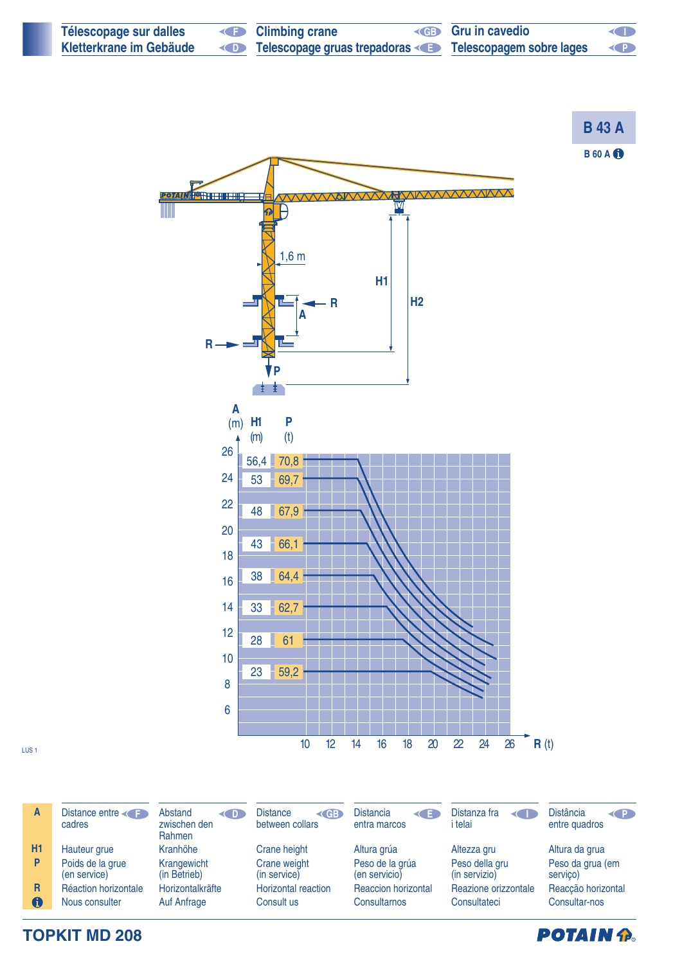

| $\mathsf{A}$ | Distance entre<br>cadres         | Abstand<br>$\left( \begin{array}{c} 0 \\ 0 \end{array} \right)$<br>zwischen den<br>Rahmen | Distance<br>$\triangleleft$ GB<br>between collars | <b>Distancia</b><br>$\left\langle \cdot \right\rangle$<br>entra marcos | Distanza fra<br>$\left\langle \right\rangle$<br>i telai | <b>Distância</b><br>$\left\langle \right\rangle$<br>entre quadros |
|--------------|----------------------------------|-------------------------------------------------------------------------------------------|---------------------------------------------------|------------------------------------------------------------------------|---------------------------------------------------------|-------------------------------------------------------------------|
| <b>H1</b>    | Hauteur grue                     | Kranhöhe                                                                                  | Crane height                                      | Altura grúa                                                            | Altezza gru                                             | Altura da grua                                                    |
| P            | Poids de la grue<br>(en service) | Krangewicht<br>(in Betrieb)                                                               | Crane weight<br>(in service)                      | Peso de la grúa<br>(en servicio)                                       | Peso della gru<br>(in servizio)                         | Peso da grua (em<br>servico)                                      |
| R            | Réaction horizontale             | Horizontalkräfte                                                                          | <b>Horizontal reaction</b>                        | <b>Reaccion horizontal</b>                                             | Reazione orizzontale                                    | Reacção horizontal                                                |
| 0            | Nous consulter                   | Auf Anfrage                                                                               | Consult us                                        | Consultarnos                                                           | Consultateci                                            | Consultar-nos                                                     |

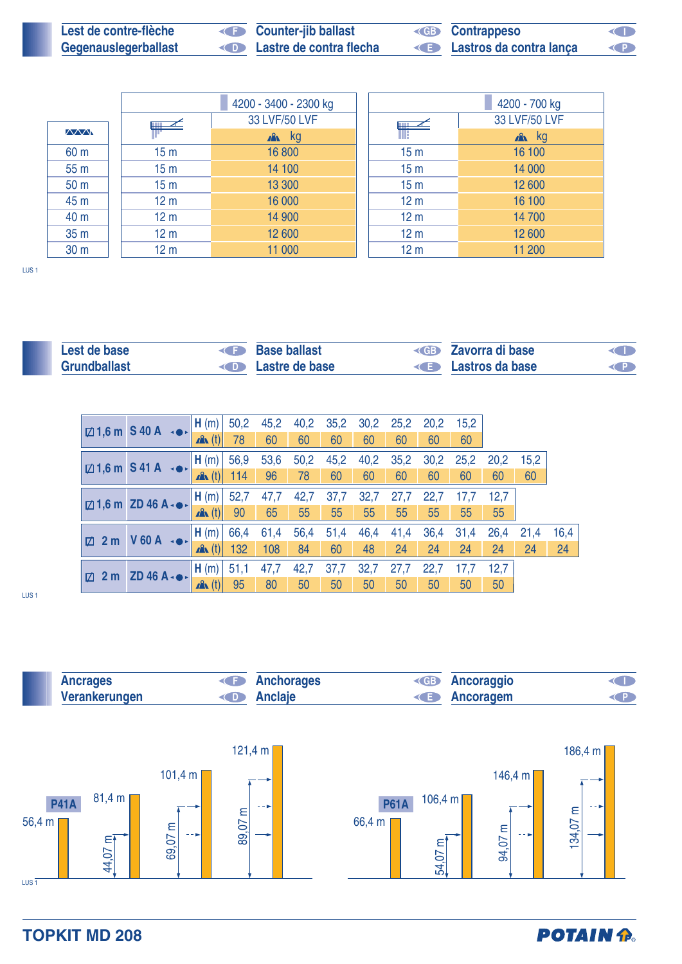| Lest de contre-flèche | <b>Counter-jib ballast</b> | <b>ED</b> Contrappeso     | <b>KID</b> |
|-----------------------|----------------------------|---------------------------|------------|
| Gegenauslegerballast  | Lastre de contra flecha    | E Lastros da contra lança | O          |

|                 |                 | 4200 - 3400 - 2300 kg |                 | 4200 - 700 kg   |
|-----------------|-----------------|-----------------------|-----------------|-----------------|
|                 |                 | 33 LVF/50 LVF         | $\mathbb{R}$    | 33 LVF/50 LVF   |
| $\wedge$        |                 | $x^2$ kg              |                 | $\mathbb{R}$ kg |
| 60 m            | 15 <sub>m</sub> | 16 800                | 15 <sub>m</sub> | 16 100          |
| 55 <sub>m</sub> | 15 <sub>m</sub> | 14 100                | 15 <sub>m</sub> | 14 000          |
| 50 <sub>m</sub> | 15 <sub>m</sub> | 13 300                | 15 <sub>m</sub> | 12 600          |
| 45 m            | 12 <sub>m</sub> | 16 000                | 12 <sub>m</sub> | 16 100          |
| 40 m            | 12 <sub>m</sub> | 14 900                | 12 <sub>m</sub> | 14 700          |
| 35 <sub>m</sub> | 12 <sub>m</sub> | 12 600                | 12 <sub>m</sub> | 12 600          |
| 30 <sub>m</sub> | 12 <sub>m</sub> | 11 000                | 12 <sub>m</sub> | 11 200          |

LUS 1

| Lest de base | <b>Base ballast</b>             | <b>Example 2</b> Zavorra di base | OD |
|--------------|---------------------------------|----------------------------------|----|
| Grundballast | <b>Example 2</b> Lastre de base | <b>Example 3</b> Lastros da base |    |

|          | $\boxtimes$ 1,6 m S 40 A $\rightarrow$          | <sub>4</sub> H (m) + | 50,2 | 45,2 | 40,2 | 35,2 | 30,2 | 25,2 | 20,2 | 15.2 |      |      |      |
|----------|-------------------------------------------------|----------------------|------|------|------|------|------|------|------|------|------|------|------|
|          |                                                 | $\mathbf{A}$ (t)     | 78   | 60   | 60   | 60   | 60   | 60   | 60   | 60   |      |      |      |
|          | $\boxtimes$ 1,6 m S 41 A $\rightarrow$          | $_1$ H (m) $_2$      | 56,9 | 53,6 | 50,2 | 45,2 | 40,2 | 35,2 | 30,2 | 25,2 | 20,2 | 15,2 |      |
|          |                                                 | $\mathbf{A}$ (t)     | 114  | 96   | 78   | 60   | 60   | 60   | 60   | 60   | 60   | 60   |      |
|          | $\boxtimes$ 1,6 m ZD 46 A $\cdot \bullet \cdot$ | H(m)                 | 52,7 | 47,7 | 42,7 | 37,7 | 32,7 | 27,7 | 22,7 | 17,7 | 12.7 |      |      |
|          |                                                 | $\mathbf{A}$ (t)     | 90   | 65   | 55   | 55   | 55   | 55   | 55   | 55   | 55   |      |      |
| 2m<br>Ø. | $V$ 60 A $\rightarrow$                          | (H(m))               | 66,4 | 61,4 | 56,4 | 51,4 | 46,4 | 41,4 | 36,4 | 31,4 | 26,4 | 21,4 | 16,4 |
|          |                                                 | $\mathbf{A}$ (t)     | 132  | 108  | 84   | 60   | 48   | 24   | 24   | 24   | 24   | 24   | 24   |
|          | $2 m$ ZD 46 A $\cdot \bullet \cdot$             | H(m)                 | 51,1 | 47,7 | 42,7 | 37,7 | 32,7 | 27,7 | 22,7 | 17,7 | 12,7 |      |      |
| $\Box$   |                                                 | $\mathbf{A}$ (t)     | 95   | 80   | 50   | 50   | 50   | 50   | 50   | 50   | 50   |      |      |

LUS 1



**POTAIN P.**